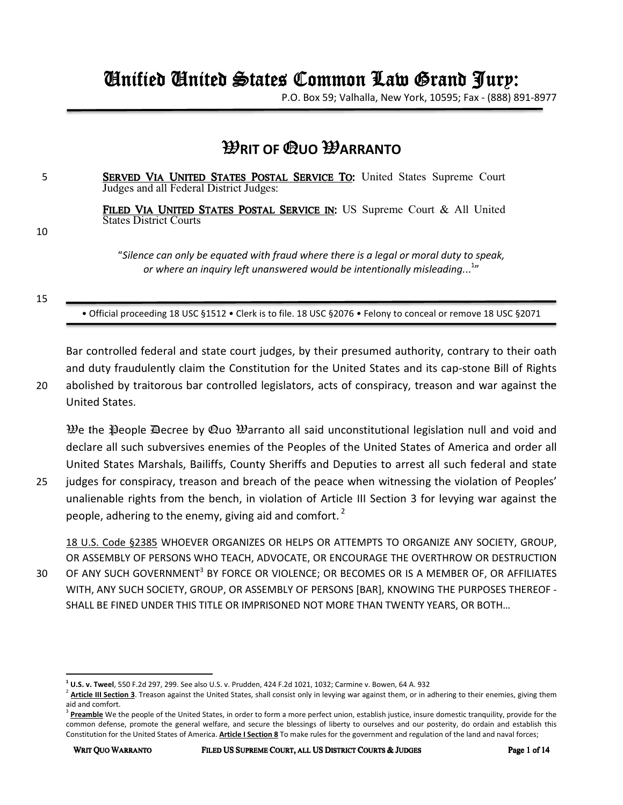# Unified United States Common Law Grand Jury: United States Jury:

P.O. Box 59; Valhalla, New York, 10595; Fax - (888) 891-8977

# W**RIT OF** Q**UO** W**ARRANTO**

5 SERVED VIA UNITED STATES POSTAL SERVICE TO: United States Supreme Court : Judges and all Federal District Judges:

> FILED VIA UNITED STATES POSTAL SERVICE IN: US Supreme Court & All United States District Courts

10

"*Silence can only be equated with fraud where there is a legal or moral duty to speak, or where an inquiry left unanswered would be intentionally misleading.*.. 1 "

15

• Official proceeding 18 USC §1512 • Clerk is to file. 18 USC §2076 • Felony to conceal or remove 18 USC §2071

Bar controlled federal and state court judges, by their presumed authority, contrary to their oath and duty fraudulently claim the Constitution for the United States and its cap-stone Bill of Rights 20 abolished by traitorous bar controlled legislators, acts of conspiracy, treason and war against the United States.

 $\mathcal{W}$ e the  $\mathcal{P}$ eople  $\mathcal{P}$ ecree by  $\mathcal{Q}$ uo  $\mathcal{W}$ arranto all said unconstitutional legislation null and void and declare all such subversives enemies of the Peoples of the United States of America and order all United States Marshals, Bailiffs, County Sheriffs and Deputies to arrest all such federal and state

25 judges for conspiracy, treason and breach of the peace when witnessing the violation of Peoples' unalienable rights from the bench, in violation of Article III Section 3 for levying war against the people, adhering to the enemy, giving aid and comfort.<sup>2</sup>

18 U.S. Code §2385 WHOEVER ORGANIZES OR HELPS OR ATTEMPTS TO ORGANIZE ANY SOCIETY, GROUP, OR ASSEMBLY OF PERSONS WHO TEACH, ADVOCATE, OR ENCOURAGE THE OVERTHROW OR DESTRUCTION 30 OF ANY SUCH GOVERNMENT<sup>3</sup> BY FORCE OR VIOLENCE; OR BECOMES OR IS A MEMBER OF, OR AFFILIATES WITH, ANY SUCH SOCIETY, GROUP, OR ASSEMBLY OF PERSONS [BAR], KNOWING THE PURPOSES THEREOF - SHALL BE FINED UNDER THIS TITLE OR IMPRISONED NOT MORE THAN TWENTY YEARS, OR BOTH…

 $\overline{\phantom{0}}$ 

**<sup>1</sup> U.S. v. Tweel**, 550 F.2d 297, 299. See also U.S. v. Prudden, 424 F.2d 1021, 1032; Carmine v. Bowen, 64 A. 932

<sup>&</sup>lt;sup>2</sup> Article III Section 3. Treason against the United States, shall consist only in levying war against them, or in adhering to their enemies, giving them aid and comfort.

<sup>&</sup>lt;sup>3</sup> Preamble We the people of the United States, in order to form a more perfect union, establish justice, insure domestic tranquility, provide for the common defense, promote the general welfare, and secure the blessings of liberty to ourselves and our posterity, do ordain and establish this Constitution for the United States of America. **Article I Section 8** To make rules for the government and regulation of the land and naval forces;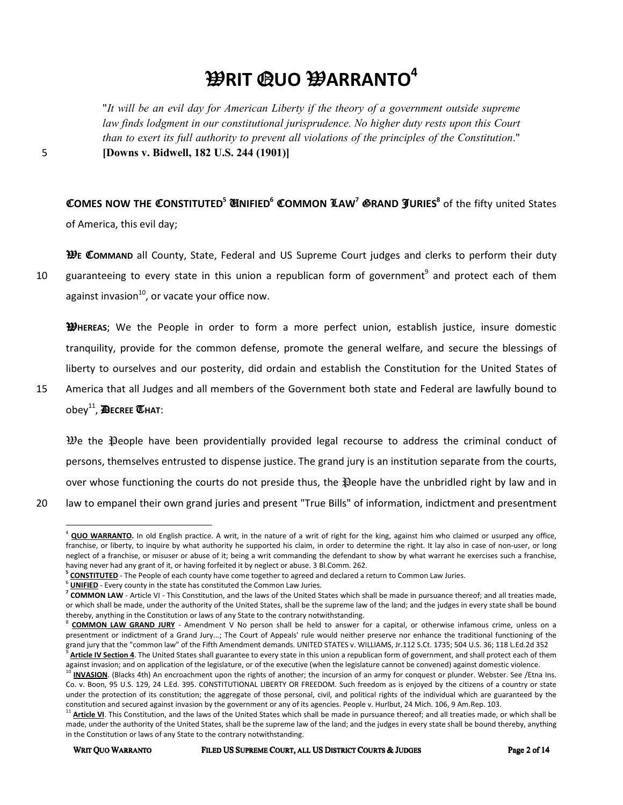# W**RIT** Q**UO** W**ARRANTO<sup>4</sup>**

"*It will be an evil day for American Liberty if the theory of a government outside supreme*  law finds lodgment in our constitutional jurisprudence. No higher duty rests upon this Court *than to exert its full authority to prevent all violations of the principles of the Constitution*." 5 **[Downs v. Bidwell, 182 U.S. 244 (1901)]** 

C**OMES NOW THE** C**ONSTITUTED<sup>5</sup>** U**NIFIED<sup>6</sup>** C**OMMON** L**AW<sup>7</sup>** G**RAND** J**URIES<sup>8</sup>** of the fifty united States of America, this evil day;

W**E** C**OMMAND** all County, State, Federal and US Supreme Court judges and clerks to perform their duty 10 guaranteeing to every state in this union a republican form of government<sup>9</sup> and protect each of them against invasion $^{10}$ , or vacate your office now.

W**HEREAS**; We the People in order to form a more perfect union, establish justice, insure domestic tranquility, provide for the common defense, promote the general welfare, and secure the blessings of liberty to ourselves and our posterity, did ordain and establish the Constitution for the United States of

15 America that all Judges and all members of the Government both state and Federal are lawfully bound to obey<sup>11</sup> , D**ECREE** T**HAT**:

 $\mathcal{W}$ e the  $\mathcal{P}$  eople have been providentially provided legal recourse to address the criminal conduct of persons, themselves entrusted to dispense justice. The grand jury is an institution separate from the courts, over whose functioning the courts do not preside thus, the People have the unbridled right by law and in 20 law to empanel their own grand juries and present "True Bills" of information, indictment and presentment

<sup>&</sup>lt;sup>4</sup> QUO WARRANTO. In old English practice. A writ, in the nature of a writ of right for the king, against him who claimed or usurped any office, franchise, or liberty, to inquire by what authority he supported his claim, in order to determine the right. It lay also in case of non-user, or long neglect of a franchise, or misuser or abuse of it; being a writ commanding the defendant to show by what warrant he exercises such a franchise, having never had any grant of it, or having forfeited it by neglect or abuse. 3 Bl.Comm. 262.

<sup>&</sup>lt;sup>5</sup> CONSTITUTED - The People of each county have come together to agreed and declared a return to Common Law Juries.

<sup>6</sup> **UNIFIED** - Every county in the state has constituted the Common Law Juries.

<sup>&</sup>lt;sup>7</sup> COMMON LAW - Article VI - This Constitution, and the laws of the United States which shall be made in pursuance thereof; and all treaties made, or which shall be made, under the authority of the United States, shall be the supreme law of the land; and the judges in every state shall be bound thereby, anything in the Constitution or laws of any State to the contrary notwithstanding.

<sup>&</sup>lt;sup>8</sup> COMMON LAW GRAND JURY - Amendment V No person shall be held to answer for a capital, or otherwise infamous crime, unless on a presentment or indictment of a Grand Jury...; The Court of Appeals' rule would neither preserve nor enhance the traditional functioning of the grand jury that the "common law" of the Fifth Amendment demands. UNITED STATES v. WILLIAMS, Jr.112 S.Ct. 1735; 504 U.S. 36; 118 L.Ed.2d 352 9

**Article IV Section 4**. The United States shall guarantee to every state in this union a republican form of government, and shall protect each of them against invasion; and on application of the legislature, or of the executive (when the legislature cannot be convened) against domestic violence.

INVASION. (Blacks 4th) An encroachment upon the rights of another; the incursion of an army for conquest or plunder. Webster. See /Etna Ins. Co. v. Boon, 95 U.S. 129, 24 L.Ed. 395. CONSTITUTIONAL LIBERTY OR FREEDOM. Such freedom as is enjoyed by the citizens of a country or state under the protection of its constitution; the aggregate of those personal, civil, and political rights of the individual which are guaranteed by the constitution and secured against invasion by the government or any of its agencies. People v. Hurlbut, 24 Mich. 106, 9 Am.Rep. 103.

Article VI. This Constitution, and the laws of the United States which shall be made in pursuance thereof; and all treaties made, or which shall be made, under the authority of the United States, shall be the supreme law of the land; and the judges in every state shall be bound thereby, anything in the Constitution or laws of any State to the contrary notwithstanding.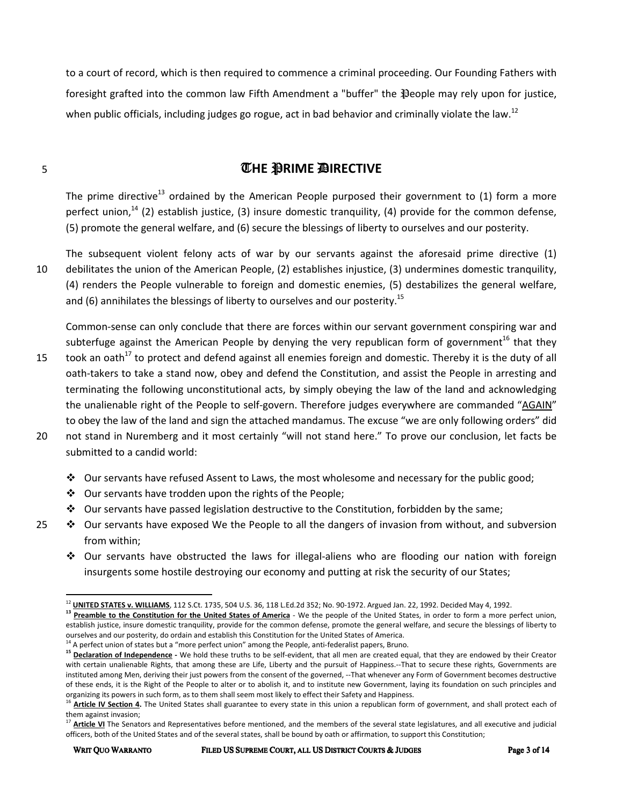to a court of record, which is then required to commence a criminal proceeding. Our Founding Fathers with foresight grafted into the common law Fifth Amendment a "buffer" the People may rely upon for justice, when public officials, including judges go rogue, act in bad behavior and criminally violate the law.<sup>12</sup>

## **THE PRIME DIRECTIVE**

The prime directive<sup>13</sup> ordained by the American People purposed their government to  $(1)$  form a more perfect union,<sup>14</sup> (2) establish justice, (3) insure domestic tranquility, (4) provide for the common defense, (5) promote the general welfare, and (6) secure the blessings of liberty to ourselves and our posterity.

The subsequent violent felony acts of war by our servants against the aforesaid prime directive (1) 10 debilitates the union of the American People, (2) establishes injustice, (3) undermines domestic tranquility, (4) renders the People vulnerable to foreign and domestic enemies, (5) destabilizes the general welfare, and (6) annihilates the blessings of liberty to ourselves and our posterity.<sup>15</sup>

Common-sense can only conclude that there are forces within our servant government conspiring war and subterfuge against the American People by denying the very republican form of government<sup>16</sup> that they

- 15 took an oath<sup>17</sup> to protect and defend against all enemies foreign and domestic. Thereby it is the duty of all oath-takers to take a stand now, obey and defend the Constitution, and assist the People in arresting and terminating the following unconstitutional acts, by simply obeying the law of the land and acknowledging the unalienable right of the People to self-govern. Therefore judges everywhere are commanded "AGAIN" to obey the law of the land and sign the attached mandamus. The excuse "we are only following orders" did
- 20 not stand in Nuremberg and it most certainly "will not stand here." To prove our conclusion, let facts be submitted to a candid world:
	- $\clubsuit$  Our servants have refused Assent to Laws, the most wholesome and necessary for the public good;
	- $\div$  Our servants have trodden upon the rights of the People;
	- $\div$  Our servants have passed legislation destructive to the Constitution, forbidden by the same;
- 25  $\bullet\bullet$  Our servants have exposed We the People to all the dangers of invasion from without, and subversion from within;
	- $\div$  Our servants have obstructed the laws for illegal-aliens who are flooding our nation with foreign insurgents some hostile destroying our economy and putting at risk the security of our States;

 $\overline{\phantom{a}}$ 

<sup>12</sup> **UNITED STATES v. WILLIAMS**, 112 S.Ct. 1735, 504 U.S. 36, 118 L.Ed.2d 352; No. 90-1972. Argued Jan. 22, 1992. Decided May 4, 1992.

<sup>13</sup> **Preamble to the Constitution for the United States of America - We the people of the United States, in order to form a more perfect union,** establish justice, insure domestic tranquility, provide for the common defense, promote the general welfare, and secure the blessings of liberty to ourselves and our posterity, do ordain and establish this Constitution for the United States of America.

 $^{14}$  A perfect union of states but a "more perfect union" among the People, anti-federalist papers, Bruno.

<sup>&</sup>lt;sup>15</sup> Declaration of Independence - We hold these truths to be self-evident, that all men are created equal, that they are endowed by their Creator with certain unalienable Rights, that among these are Life, Liberty and the pursuit of Happiness.--That to secure these rights, Governments are instituted among Men, deriving their just powers from the consent of the governed, --That whenever any Form of Government becomes destructive of these ends, it is the Right of the People to alter or to abolish it, and to institute new Government, laying its foundation on such principles and organizing its powers in such form, as to them shall seem most likely to effect their Safety and Happiness.

Article IV Section 4. The United States shall guarantee to every state in this union a republican form of government, and shall protect each of them against invasion;

Article VI The Senators and Representatives before mentioned, and the members of the several state legislatures, and all executive and judicial officers, both of the United States and of the several states, shall be bound by oath or affirmation, to support this Constitution;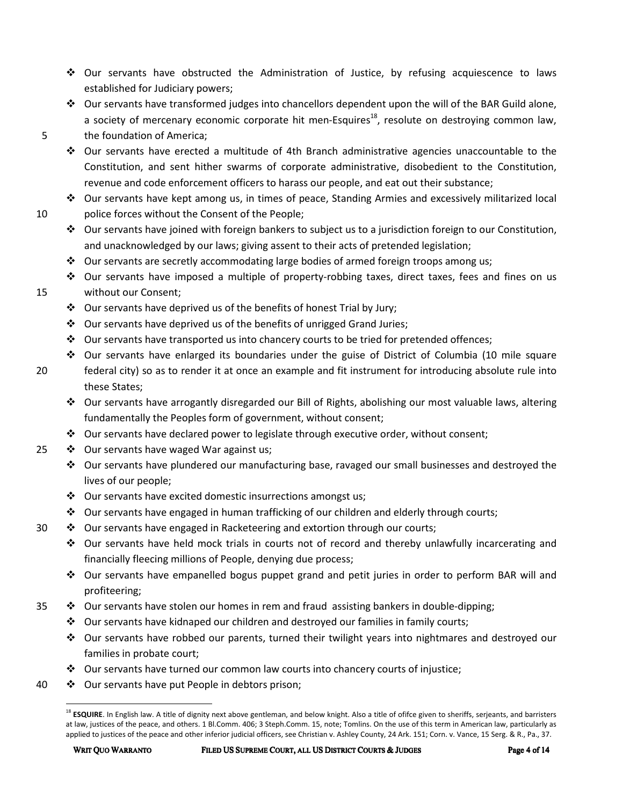- Our servants have obstructed the Administration of Justice, by refusing acquiescence to laws established for Judiciary powers;
- Our servants have transformed judges into chancellors dependent upon the will of the BAR Guild alone, a society of mercenary economic corporate hit men-Esquires<sup>18</sup>, resolute on destroying common law,

### 5 the foundation of America;

- Our servants have erected a multitude of 4th Branch administrative agencies unaccountable to the Constitution, and sent hither swarms of corporate administrative, disobedient to the Constitution, revenue and code enforcement officers to harass our people, and eat out their substance;
- $\div$  Our servants have kept among us, in times of peace, Standing Armies and excessively militarized local 10 police forces without the Consent of the People;
	- $\bullet$  Our servants have joined with foreign bankers to subject us to a jurisdiction foreign to our Constitution, and unacknowledged by our laws; giving assent to their acts of pretended legislation;
	- $\div$  Our servants are secretly accommodating large bodies of armed foreign troops among us;
- Our servants have imposed a multiple of property-robbing taxes, direct taxes, fees and fines on us 15 without our Consent;
	- $\cdot$  Our servants have deprived us of the benefits of honest Trial by Jury;
	- $\cdot$  Our servants have deprived us of the benefits of unrigged Grand Juries;
	- $\clubsuit$  Our servants have transported us into chancery courts to be tried for pretended offences;
	- $\div$  Our servants have enlarged its boundaries under the guise of District of Columbia (10 mile square
- 20 federal city) so as to render it at once an example and fit instrument for introducing absolute rule into these States;
	- $\div$  Our servants have arrogantly disregarded our Bill of Rights, abolishing our most valuable laws, altering fundamentally the Peoples form of government, without consent;
	- $\div$  Our servants have declared power to legislate through executive order, without consent;
- 25  $\cdot \cdot \cdot$  Our servants have waged War against us;
	- $\div$  Our servants have plundered our manufacturing base, ravaged our small businesses and destroyed the lives of our people;
	- $\triangleleft$  Our servants have excited domestic insurrections amongst us;
	- $\clubsuit$  Our servants have engaged in human trafficking of our children and elderly through courts;
- $30 \rightarrow$  Our servants have engaged in Racketeering and extortion through our courts;
	- $\div$  Our servants have held mock trials in courts not of record and thereby unlawfully incarcerating and financially fleecing millions of People, denying due process;
	- Our servants have empanelled bogus puppet grand and petit juries in order to perform BAR will and profiteering;
- 35  $\bullet\bullet$  Our servants have stolen our homes in rem and fraud assisting bankers in double-dipping;
	- $\div$  Our servants have kidnaped our children and destroyed our families in family courts;
	- $\div$  Our servants have robbed our parents, turned their twilight years into nightmares and destroyed our families in probate court;
	- $\clubsuit$  Our servants have turned our common law courts into chancery courts of injustice;
- 40  $\cdot \cdot \cdot$  Our servants have put People in debtors prison;

<sup>&</sup>lt;sup>18</sup> ESQUIRE. In English law. A title of dignity next above gentleman, and below knight. Also a title of ofifce given to sheriffs, serjeants, and barristers at law, justices of the peace, and others. 1 Bl.Comm. 406; 3 Steph.Comm. 15, note; Tomlins. On the use of this term in American law, particularly as applied to justices of the peace and other inferior judicial officers, see Christian v. Ashley County, 24 Ark. 151; Corn. v. Vance, 15 Serg. & R., Pa., 37.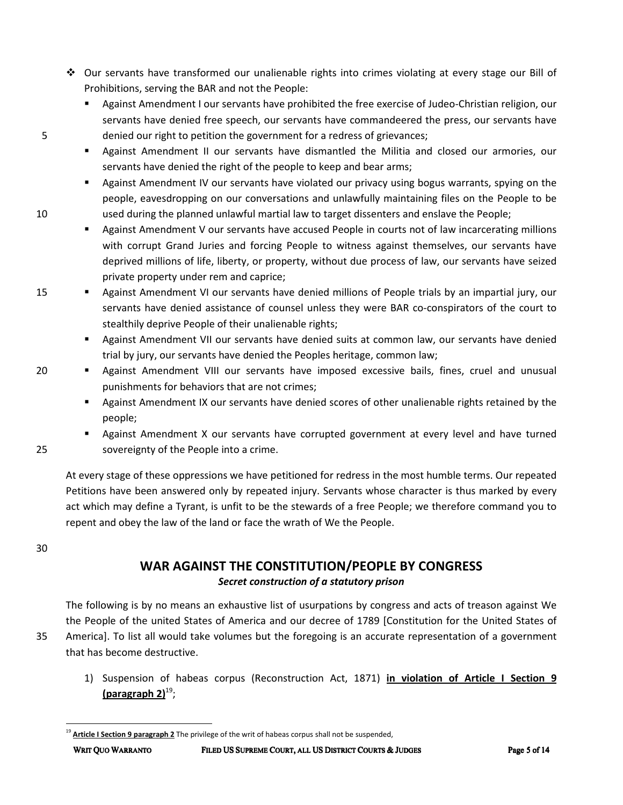- Our servants have transformed our unalienable rights into crimes violating at every stage our Bill of Prohibitions, serving the BAR and not the People:
- - Against Amendment I our servants have prohibited the free exercise of Judeo-Christian religion, our servants have denied free speech, our servants have commandeered the press, our servants have 5 denied our right to petition the government for a redress of grievances;
	- Against Amendment II our servants have dismantled the Militia and closed our armories, our servants have denied the right of the people to keep and bear arms;
- - Against Amendment IV our servants have violated our privacy using bogus warrants, spying on the people, eavesdropping on our conversations and unlawfully maintaining files on the People to be 10 used during the planned unlawful martial law to target dissenters and enslave the People;
	- - Against Amendment V our servants have accused People in courts not of law incarcerating millions with corrupt Grand Juries and forcing People to witness against themselves, our servants have deprived millions of life, liberty, or property, without due process of law, our servants have seized private property under rem and caprice;
- 15 - Against Amendment VI our servants have denied millions of People trials by an impartial jury, our servants have denied assistance of counsel unless they were BAR co-conspirators of the court to stealthily deprive People of their unalienable rights;
	- Against Amendment VII our servants have denied suits at common law, our servants have denied trial by jury, our servants have denied the Peoples heritage, common law;
	- Against Amendment VIII our servants have imposed excessive bails, fines, cruel and unusual punishments for behaviors that are not crimes;
		- Against Amendment IX our servants have denied scores of other unalienable rights retained by the people;
- **E** Against Amendment X our servants have corrupted government at every level and have turned 25 sovereignty of the People into a crime.

At every stage of these oppressions we have petitioned for redress in the most humble terms. Our repeated Petitions have been answered only by repeated injury. Servants whose character is thus marked by every act which may define a Tyrant, is unfit to be the stewards of a free People; we therefore command you to repent and obey the law of the land or face the wrath of We the People.

30

# **WAR AGAINST THE CONSTITUTION/PEOPLE BY CONGRESS**  *Secret construction of a statutory prison*

The following is by no means an exhaustive list of usurpations by congress and acts of treason against We the People of the united States of America and our decree of 1789 [Constitution for the United States of 35 America]. To list all would take volumes but the foregoing is an accurate representation of a government that has become destructive.

1) Suspension of habeas corpus (Reconstruction Act, 1871) **in violation of Article I Section 9 (paragraph 2)**<sup>19</sup> ;

20

Article I Section 9 paragraph 2 The privilege of the writ of habeas corpus shall not be suspended,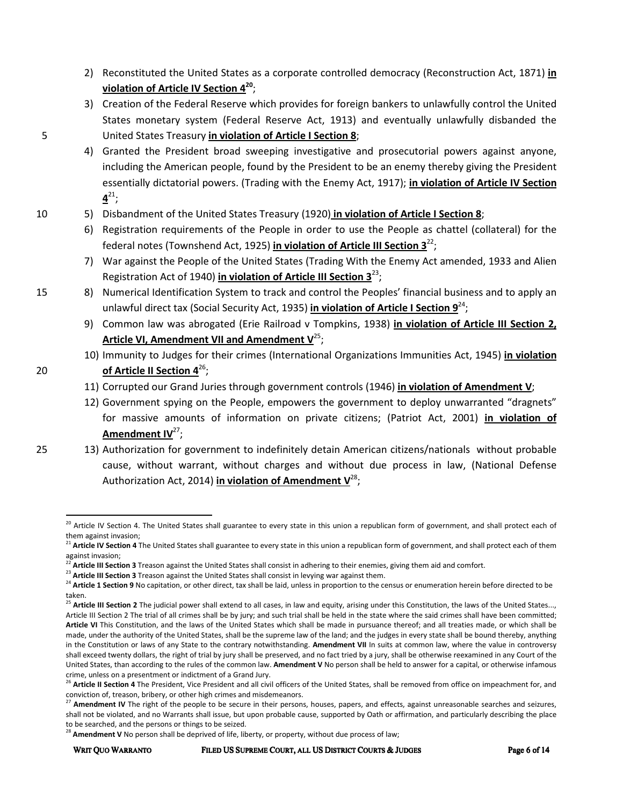- 2) Reconstituted the United States as a corporate controlled democracy (Reconstruction Act, 1871) **in violation of Article IV Section 4<sup>20</sup>** ;
- 3) Creation of the Federal Reserve which provides for foreign bankers to unlawfully control the United States monetary system (Federal Reserve Act, 1913) and eventually unlawfully disbanded the 5 United States Treasury **in violation of Article I Section 8**;
	- 4) Granted the President broad sweeping investigative and prosecutorial powers against anyone, including the American people, found by the President to be an enemy thereby giving the President essentially dictatorial powers. (Trading with the Enemy Act, 1917); **in violation of Article IV Section**   $4^{21}$ ;
- 10 5) Disbandment of the United States Treasury (1920) **in violation of Article I Section 8**;
	- 6) Registration requirements of the People in order to use the People as chattel (collateral) for the federal notes (Townshend Act, 1925) **in violation of Article III Section 3**<sup>22</sup> ;
	- 7) War against the People of the United States (Trading With the Enemy Act amended, 1933 and Alien Registration Act of 1940) *in violation of Article III Section* 3<sup>23</sup>;
- 15 8) Numerical Identification System to track and control the Peoples' financial business and to apply an unlawful direct tax (Social Security Act, 1935) **in violation of Article I Section 9**<sup>24</sup>;
	- 9) Common law was abrogated (Erie Railroad v Tompkins, 1938) **in violation of Article III Section 2,**  Article VI, Amendment VII and Amendment V<sup>25</sup>;
- 10) Immunity to Judges for their crimes (International Organizations Immunities Act, 1945) **in violation 20 of Article II Section 4<sup>26</sup>**:
	- 11) Corrupted our Grand Juries through government controls (1946) **in violation of Amendment V**;
	- 12) Government spying on the People, empowers the government to deploy unwarranted "dragnets" for massive amounts of information on private citizens; (Patriot Act, 2001) **in violation of**  Amendment IV<sup>27</sup>;
- 

25 13) Authorization for government to indefinitely detain American citizens/nationals without probable cause, without warrant, without charges and without due process in law, (National Defense Authorization Act, 2014) **in violation of Amendment V**<sup>28</sup>;

<sup>&</sup>lt;sup>20</sup> Article IV Section 4. The United States shall guarantee to every state in this union a republican form of government, and shall protect each of them against invasion;

<sup>&</sup>lt;sup>21</sup> Article IV Section 4 The United States shall guarantee to every state in this union a republican form of government, and shall protect each of them against invasion;

<sup>&</sup>lt;sup>2</sup> Article III Section 3 Treason against the United States shall consist in adhering to their enemies, giving them aid and comfort.

<sup>&</sup>lt;sup>23</sup> Article III Section 3 Treason against the United States shall consist in levying war against them.

<sup>&</sup>lt;sup>24</sup> Article 1 Section 9 No capitation, or other direct, tax shall be laid, unless in proportion to the census or enumeration herein before directed to be taken.

<sup>&</sup>lt;sup>25</sup> Article III Section 2 The judicial power shall extend to all cases, in law and equity, arising under this Constitution, the laws of the United States..., Article III Section 2 The trial of all crimes shall be by jury; and such trial shall be held in the state where the said crimes shall have been committed; **Article VI** This Constitution, and the laws of the United States which shall be made in pursuance thereof; and all treaties made, or which shall be made, under the authority of the United States, shall be the supreme law of the land; and the judges in every state shall be bound thereby, anything in the Constitution or laws of any State to the contrary notwithstanding. **Amendment VII** In suits at common law, where the value in controversy shall exceed twenty dollars, the right of trial by jury shall be preserved, and no fact tried by a jury, shall be otherwise reexamined in any Court of the United States, than according to the rules of the common law. **Amendment V** No person shall be held to answer for a capital, or otherwise infamous crime, unless on a presentment or indictment of a Grand Jury.

<sup>&</sup>lt;sup>26</sup> Article II Section 4 The President, Vice President and all civil officers of the United States, shall be removed from office on impeachment for, and conviction of, treason, bribery, or other high crimes and misdemeanors.

Amendment IV The right of the people to be secure in their persons, houses, papers, and effects, against unreasonable searches and seizures, shall not be violated, and no Warrants shall issue, but upon probable cause, supported by Oath or affirmation, and particularly describing the place to be searched, and the persons or things to be seized.

Amendment V No person shall be deprived of life, liberty, or property, without due process of law;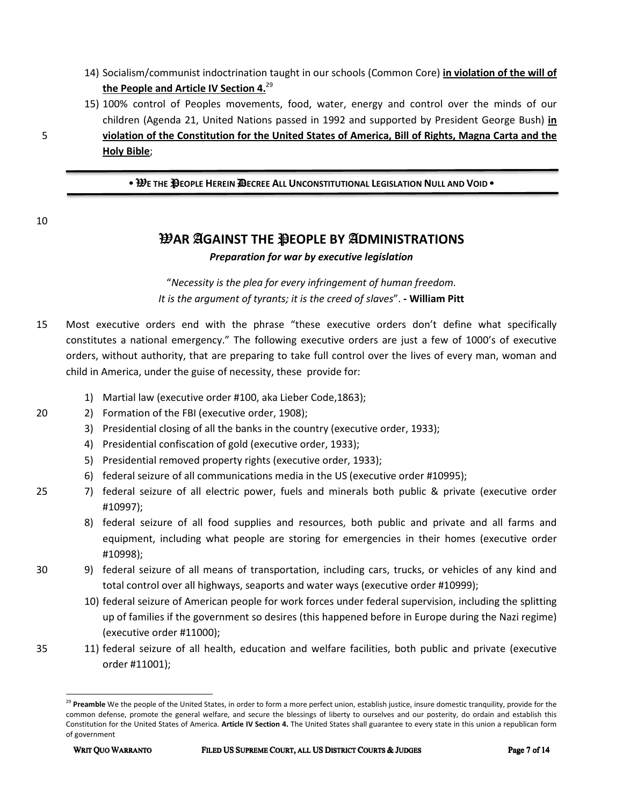- 14) Socialism/communist indoctrination taught in our schools (Common Core) **in violation of the will of the People and Article IV Section 4.**<sup>29</sup>
- 15) 100% control of Peoples movements, food, water, energy and control over the minds of our children (Agenda 21, United Nations passed in 1992 and supported by President George Bush) **in**  5 **violation of the Constitution for the United States of America, Bill of Rights, Magna Carta and the Holy Bible**;

• W**E THE** P**EOPLE HEREIN** D**ECREE ALL UNCONSTITUTIONAL LEGISLATION NULL AND VOID** •

10

# W**AR** A**GAINST THE** P**EOPLE BY** A**DMINISTRATIONS**

#### *Preparation for war by executive legislation*

"*Necessity is the plea for every infringement of human freedom. It is the argument of tyrants; it is the creed of slaves*". **- William Pitt** 

- 15 Most executive orders end with the phrase "these executive orders don't define what specifically constitutes a national emergency." The following executive orders are just a few of 1000's of executive orders, without authority, that are preparing to take full control over the lives of every man, woman and child in America, under the guise of necessity, these provide for:
	- 1) Martial law (executive order #100, aka Lieber Code,1863);
- 20 2) Formation of the FBI (executive order, 1908);
	- 3) Presidential closing of all the banks in the country (executive order, 1933);
	- 4) Presidential confiscation of gold (executive order, 1933);
	- 5) Presidential removed property rights (executive order, 1933);
	- 6) federal seizure of all communications media in the US (executive order #10995);
- 25 7) federal seizure of all electric power, fuels and minerals both public & private (executive order #10997);
	- 8) federal seizure of all food supplies and resources, both public and private and all farms and equipment, including what people are storing for emergencies in their homes (executive order #10998);
- 30 9) federal seizure of all means of transportation, including cars, trucks, or vehicles of any kind and total control over all highways, seaports and water ways (executive order #10999);
	- 10) federal seizure of American people for work forces under federal supervision, including the splitting up of families if the government so desires (this happened before in Europe during the Nazi regime) (executive order #11000);
- 35 11) federal seizure of all health, education and welfare facilities, both public and private (executive order #11001);

<sup>&</sup>lt;sup>29</sup> Preamble We the people of the United States, in order to form a more perfect union, establish justice, insure domestic tranquility, provide for the common defense, promote the general welfare, and secure the blessings of liberty to ourselves and our posterity, do ordain and establish this Constitution for the United States of America. **Article IV Section 4.** The United States shall guarantee to every state in this union a republican form of government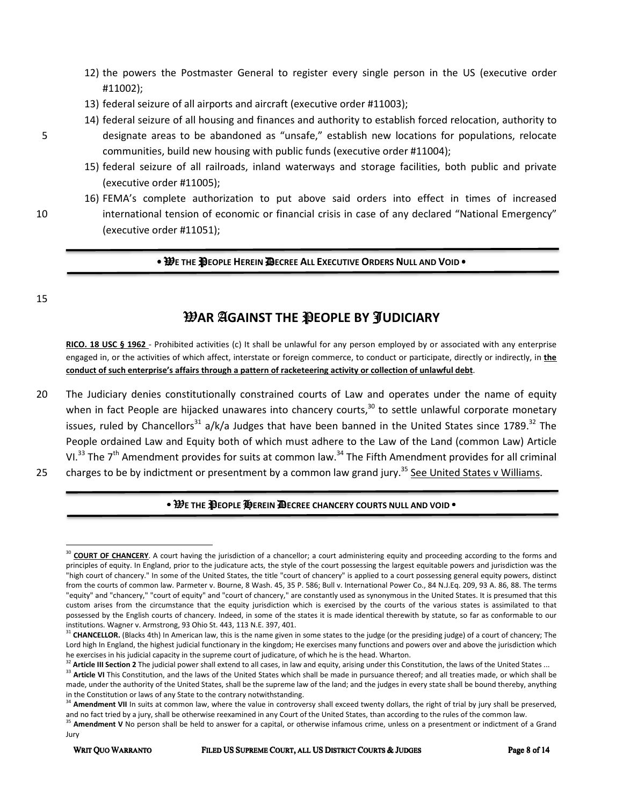- 12) the powers the Postmaster General to register every single person in the US (executive order #11002);
- 13) federal seizure of all airports and aircraft (executive order #11003);
- 14) federal seizure of all housing and finances and authority to establish forced relocation, authority to 5 designate areas to be abandoned as "unsafe," establish new locations for populations, relocate communities, build new housing with public funds (executive order #11004);
	- 15) federal seizure of all railroads, inland waterways and storage facilities, both public and private (executive order #11005);
- 16) FEMA's complete authorization to put above said orders into effect in times of increased 10 international tension of economic or financial crisis in case of any declared "National Emergency" (executive order #11051);

#### • W**E THE** P**EOPLE HEREIN** D**ECREE ALL EXECUTIVE ORDERS NULL AND VOID** •

15

l

# W**AR** A**GAINST THE** P**EOPLE BY** J**UDICIARY**

**RICO. 18 USC § 1962** - Prohibited activities (c) It shall be unlawful for any person employed by or associated with any enterprise engaged in, or the activities of which affect, interstate or foreign commerce, to conduct or participate, directly or indirectly, in **the conduct of such enterprise's affairs through a pattern of racketeering activity or collection of unlawful debt**.

20 The Judiciary denies constitutionally constrained courts of Law and operates under the name of equity when in fact People are hijacked unawares into chancery courts,<sup>30</sup> to settle unlawful corporate monetary issues, ruled by Chancellors<sup>31</sup> a/k/a Judges that have been banned in the United States since 1789.<sup>32</sup> The People ordained Law and Equity both of which must adhere to the Law of the Land (common Law) Article VI.<sup>33</sup> The  $7<sup>th</sup>$  Amendment provides for suits at common law.<sup>34</sup> The Fifth Amendment provides for all criminal 25 charges to be by indictment or presentment by a common law grand jury.<sup>35</sup> See United States v Williams.

#### • W**E THE** P**EOPLE** H**EREIN** D**ECREE CHANCERY COURTS NULL AND VOID** •

<sup>&</sup>lt;sup>30</sup> COURT OF CHANCERY. A court having the jurisdiction of a chancellor; a court administering equity and proceeding according to the forms and principles of equity. In England, prior to the judicature acts, the style of the court possessing the largest equitable powers and jurisdiction was the "high court of chancery." In some of the United States, the title "court of chancery" is applied to a court possessing general equity powers, distinct from the courts of common law. Parmeter v. Bourne, 8 Wash. 45, 35 P. 586; Bull v. International Power Co., 84 N.J.Eq. 209, 93 A. 86, 88. The terms "equity" and "chancery," "court of equity" and "court of chancery," are constantly used as synonymous in the United States. It is presumed that this custom arises from the circumstance that the equity jurisdiction which is exercised by the courts of the various states is assimilated to that possessed by the English courts of chancery. Indeed, in some of the states it is made identical therewith by statute, so far as conformable to our institutions. Wagner v. Armstrong, 93 Ohio St. 443, 113 N.E. 397, 401.

<sup>&</sup>lt;sup>31</sup> CHANCELLOR. (Blacks 4th) In American law, this is the name given in some states to the judge (or the presiding judge) of a court of chancery; The Lord high In England, the highest judicial functionary in the kingdom; He exercises many functions and powers over and above the jurisdiction which he exercises in his judicial capacity in the supreme court of judicature, of which he is the head. Wharton.

Article III Section 2 The judicial power shall extend to all cases, in law and equity, arising under this Constitution, the laws of the United States ...

<sup>&</sup>lt;sup>33</sup> Article VI This Constitution, and the laws of the United States which shall be made in pursuance thereof; and all treaties made, or which shall be made, under the authority of the United States, shall be the supreme law of the land; and the judges in every state shall be bound thereby, anything in the Constitution or laws of any State to the contrary notwithstanding.

<sup>&</sup>lt;sup>4</sup> Amendment VII In suits at common law, where the value in controversy shall exceed twenty dollars, the right of trial by jury shall be preserved, and no fact tried by a jury, shall be otherwise reexamined in any Court of the United States, than according to the rules of the common law.

<sup>&</sup>lt;sup>35</sup> Amendment V No person shall be held to answer for a capital, or otherwise infamous crime, unless on a presentment or indictment of a Grand Jury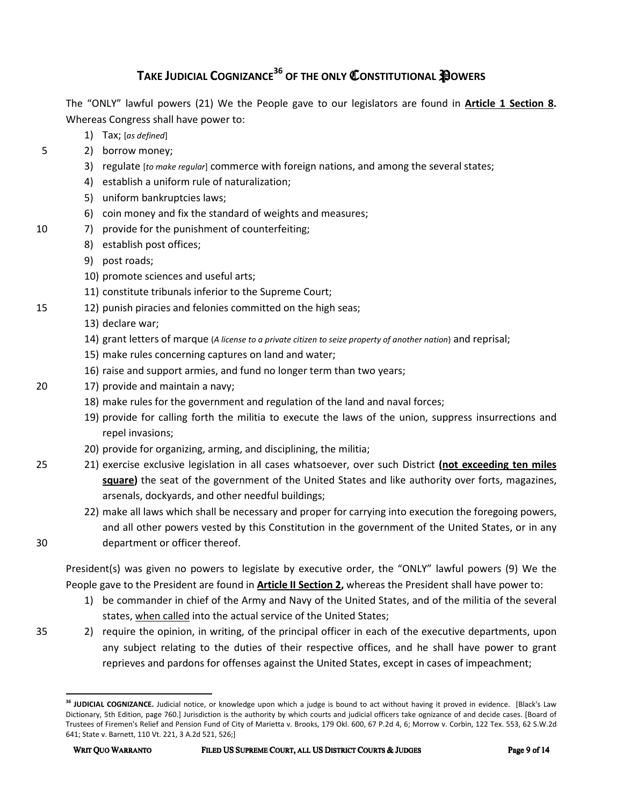# **TAKE JUDICIAL COGNIZANCE36 OF THE ONLY** C**ONSTITUTIONAL** P**OWERS**

The "ONLY" lawful powers (21) We the People gave to our legislators are found in **Article 1 Section 8.** Whereas Congress shall have power to:

- 1) Tax; [*as defined*]
- 5 2) borrow money;
	- 3) regulate [*to make regular*] commerce with foreign nations, and among the several states;
	- 4) establish a uniform rule of naturalization;
	- 5) uniform bankruptcies laws;
	- 6) coin money and fix the standard of weights and measures;
- 10 7) provide for the punishment of counterfeiting;
	- 8) establish post offices;
	- 9) post roads;
	- 10) promote sciences and useful arts;
	- 11) constitute tribunals inferior to the Supreme Court;
- 15 12) punish piracies and felonies committed on the high seas;
	- 13) declare war;
	- 14) grant letters of marque (*A license to a private citizen to seize property of another nation*) and reprisal;
	- 15) make rules concerning captures on land and water;
	- 16) raise and support armies, and fund no longer term than two years;
- 20 17) provide and maintain a navy;
	- 18) make rules for the government and regulation of the land and naval forces;
	- 19) provide for calling forth the militia to execute the laws of the union, suppress insurrections and repel invasions;
	- 20) provide for organizing, arming, and disciplining, the militia;
- 25 21) exercise exclusive legislation in all cases whatsoever, over such District **(not exceeding ten miles square)** the seat of the government of the United States and like authority over forts, magazines, arsenals, dockyards, and other needful buildings;
- 22) make all laws which shall be necessary and proper for carrying into execution the foregoing powers, and all other powers vested by this Constitution in the government of the United States, or in any 30 department or officer thereof.

President(s) was given no powers to legislate by executive order, the "ONLY" lawful powers (9) We the People gave to the President are found in **Article II Section 2,** whereas the President shall have power to:

- 1) be commander in chief of the Army and Navy of the United States, and of the militia of the several states, when called into the actual service of the United States;
- 35 2) require the opinion, in writing, of the principal officer in each of the executive departments, upon any subject relating to the duties of their respective offices, and he shall have power to grant reprieves and pardons for offenses against the United States, except in cases of impeachment;

**<sup>36</sup> JUDICIAL COGNIZANCE.** Judicial notice, or knowledge upon which a judge is bound to act without having it proved in evidence. [Black's Law Dictionary, 5th Edition, page 760.] Jurisdiction is the authority by which courts and judicial officers take ognizance of and decide cases. [Board of Trustees of Firemen's Relief and Pension Fund of City of Marietta v. Brooks, 179 Okl. 600, 67 P.2d 4, 6; Morrow v. Corbin, 122 Tex. 553, 62 S.W.2d 641; State v. Barnett, 110 Vt. 221, 3 A.2d 521, 526;]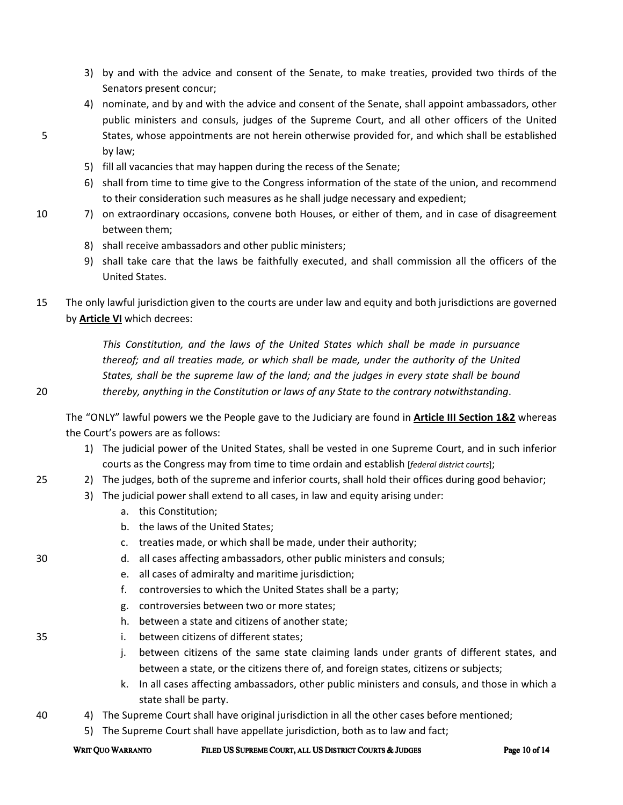- 3) by and with the advice and consent of the Senate, to make treaties, provided two thirds of the Senators present concur;
- 4) nominate, and by and with the advice and consent of the Senate, shall appoint ambassadors, other public ministers and consuls, judges of the Supreme Court, and all other officers of the United 5 States, whose appointments are not herein otherwise provided for, and which shall be established by law;
	- 5) fill all vacancies that may happen during the recess of the Senate;
	- 6) shall from time to time give to the Congress information of the state of the union, and recommend to their consideration such measures as he shall judge necessary and expedient;
- 10 7) on extraordinary occasions, convene both Houses, or either of them, and in case of disagreement between them;
	- 8) shall receive ambassadors and other public ministers;
	- 9) shall take care that the laws be faithfully executed, and shall commission all the officers of the United States.
- 15 The only lawful jurisdiction given to the courts are under law and equity and both jurisdictions are governed by **Article VI** which decrees:

*This Constitution, and the laws of the United States which shall be made in pursuance thereof; and all treaties made, or which shall be made, under the authority of the United States, shall be the supreme law of the land; and the judges in every state shall be bound*  20 *thereby, anything in the Constitution or laws of any State to the contrary notwithstanding*.

The "ONLY" lawful powers we the People gave to the Judiciary are found in **Article III Section 1&2** whereas the Court's powers are as follows:

- 1) The judicial power of the United States, shall be vested in one Supreme Court, and in such inferior courts as the Congress may from time to time ordain and establish [*federal district courts*];
- 25 25 2) The judges, both of the supreme and inferior courts, shall hold their offices during good behavior;
	- 3) The judicial power shall extend to all cases, in law and equity arising under:
		- a. this Constitution;
		- b. the laws of the United States;
		- c. treaties made, or which shall be made, under their authority;
- 30 d. all cases affecting ambassadors, other public ministers and consuls;
	- e. all cases of admiralty and maritime jurisdiction;
	- f. controversies to which the United States shall be a party;
	- g. controversies between two or more states;
	- h. between a state and citizens of another state;
- 35 i. between citizens of different states;
	- j. between citizens of the same state claiming lands under grants of different states, and between a state, or the citizens there of, and foreign states, citizens or subjects;
	- k. In all cases affecting ambassadors, other public ministers and consuls, and those in which a state shall be party.
- 40 4) The Supreme Court shall have original jurisdiction in all the other cases before mentioned;
	- 5) The Supreme Court shall have appellate jurisdiction, both as to law and fact;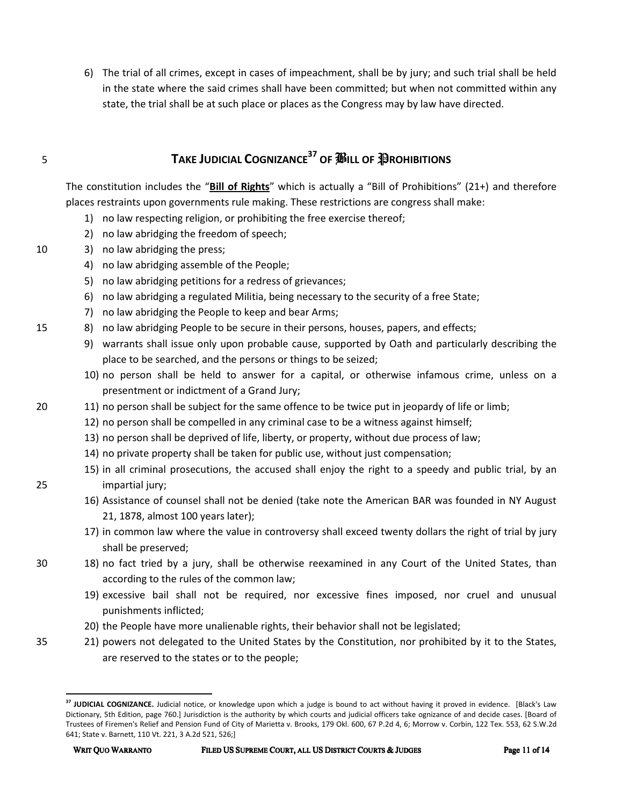6) The trial of all crimes, except in cases of impeachment, shall be by jury; and such trial shall be held in the state where the said crimes shall have been committed; but when not committed within any state, the trial shall be at such place or places as the Congress may by law have directed.

# **TAKE JUDICIAL COGNIZANCE<sup>37</sup> OF** *S***OF PORTIBITIONS**

The constitution includes the "**Bill of Rights**" which is actually a "Bill of Prohibitions" (21+) and therefore places restraints upon governments rule making. These restrictions are congress shall make:

- 1) no law respecting religion, or prohibiting the free exercise thereof;
- 2) no law abridging the freedom of speech;
- 10 3) no law abridging the press;
	- 4) no law abridging assemble of the People;
	- 5) no law abridging petitions for a redress of grievances;
	- 6) no law abridging a regulated Militia, being necessary to the security of a free State;
	- 7) no law abridging the People to keep and bear Arms;
- 15 8) no law abridging People to be secure in their persons, houses, papers, and effects;
	- 9) warrants shall issue only upon probable cause, supported by Oath and particularly describing the place to be searched, and the persons or things to be seized;
	- 10) no person shall be held to answer for a capital, or otherwise infamous crime, unless on a presentment or indictment of a Grand Jury;
- 20 11) no person shall be subject for the same offence to be twice put in jeopardy of life or limb;
	- 12) no person shall be compelled in any criminal case to be a witness against himself;
	- 13) no person shall be deprived of life, liberty, or property, without due process of law;
	- 14) no private property shall be taken for public use, without just compensation;
- 15) in all criminal prosecutions, the accused shall enjoy the right to a speedy and public trial, by an 25 impartial jury;
	- 16) Assistance of counsel shall not be denied (take note the American BAR was founded in NY August 21, 1878, almost 100 years later);
	- 17) in common law where the value in controversy shall exceed twenty dollars the right of trial by jury shall be preserved;
- 30 18) no fact tried by a jury, shall be otherwise reexamined in any Court of the United States, than according to the rules of the common law;
	- 19) excessive bail shall not be required, nor excessive fines imposed, nor cruel and unusual punishments inflicted;
	- 20) the People have more unalienable rights, their behavior shall not be legislated;
- 35 21) powers not delegated to the United States by the Constitution, nor prohibited by it to the States, are reserved to the states or to the people;

**<sup>37</sup> JUDICIAL COGNIZANCE.** Judicial notice, or knowledge upon which a judge is bound to act without having it proved in evidence. [Black's Law Dictionary, 5th Edition, page 760.] Jurisdiction is the authority by which courts and judicial officers take ognizance of and decide cases. [Board of Trustees of Firemen's Relief and Pension Fund of City of Marietta v. Brooks, 179 Okl. 600, 67 P.2d 4, 6; Morrow v. Corbin, 122 Tex. 553, 62 S.W.2d 641; State v. Barnett, 110 Vt. 221, 3 A.2d 521, 526;]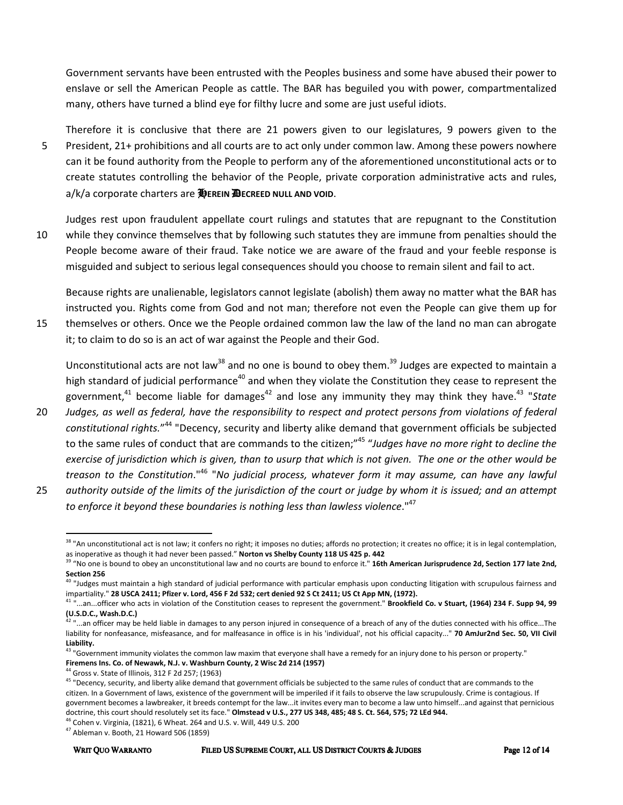Government servants have been entrusted with the Peoples business and some have abused their power to enslave or sell the American People as cattle. The BAR has beguiled you with power, compartmentalized many, others have turned a blind eye for filthy lucre and some are just useful idiots.

Therefore it is conclusive that there are 21 powers given to our legislatures, 9 powers given to the 5 President, 21+ prohibitions and all courts are to act only under common law. Among these powers nowhere can it be found authority from the People to perform any of the aforementioned unconstitutional acts or to create statutes controlling the behavior of the People, private corporation administrative acts and rules, a/k/a corporate charters are H**EREIN** D**ECREED NULL AND VOID**.

Judges rest upon fraudulent appellate court rulings and statutes that are repugnant to the Constitution 10 while they convince themselves that by following such statutes they are immune from penalties should the People become aware of their fraud. Take notice we are aware of the fraud and your feeble response is misguided and subject to serious legal consequences should you choose to remain silent and fail to act.

Because rights are unalienable, legislators cannot legislate (abolish) them away no matter what the BAR has instructed you. Rights come from God and not man; therefore not even the People can give them up for 15 themselves or others. Once we the People ordained common law the law of the land no man can abrogate it; to claim to do so is an act of war against the People and their God.

Unconstitutional acts are not law<sup>38</sup> and no one is bound to obey them.<sup>39</sup> Judges are expected to maintain a high standard of judicial performance<sup>40</sup> and when they violate the Constitution they cease to represent the government,<sup>41</sup> become liable for damages<sup>42</sup> and lose any immunity they may think they have.<sup>43</sup> "State

20 *Judges, as well as federal, have the responsibility to respect and protect persons from violations of federal constitutional rights.*" <sup>44</sup> "Decency, security and liberty alike demand that government officials be subjected to the same rules of conduct that are commands to the citizen;"<sup>45</sup> "*Judges have no more right to decline the exercise of jurisdiction which is given, than to usurp that which is not given. The one or the other would be treason to the Constitution*."<sup>46</sup> "*No judicial process, whatever form it may assume, can have any lawful*  25 *authority outside of the limits of the jurisdiction of the court or judge by whom it is issued; and an attempt* 

*to enforce it beyond these boundaries is nothing less than lawless violence*."<sup>47</sup>

l

<sup>&</sup>lt;sup>38</sup> "An unconstitutional act is not law; it confers no right; it imposes no duties; affords no protection; it creates no office; it is in legal contemplation, as inoperative as though it had never been passed." **Norton vs Shelby County 118 US 425 p. 442**

<sup>&</sup>lt;sup>39</sup> "No one is bound to obey an unconstitutional law and no courts are bound to enforce it." **16th American Jurisprudence 2d, Section 177 late 2nd, Section 256**

<sup>&</sup>lt;sup>40</sup> "Judges must maintain a high standard of judicial performance with particular emphasis upon conducting litigation with scrupulous fairness and impartiality." **28 USCA 2411; Pfizer v. Lord, 456 F 2d 532; cert denied 92 S Ct 2411; US Ct App MN, (1972).**

<sup>41</sup> "...an...officer who acts in violation of the Constitution ceases to represent the government." **Brookfield Co. v Stuart, (1964) 234 F. Supp 94, 99 (U.S.D.C., Wash.D.C.)**

<sup>42</sup> "...an officer may be held liable in damages to any person injured in consequence of a breach of any of the duties connected with his office...The liability for nonfeasance, misfeasance, and for malfeasance in office is in his 'individual', not his official capacity..." **70 AmJur2nd Sec. 50, VII Civil Liability.**

<sup>43 &</sup>quot;Government immunity violates the common law maxim that everyone shall have a remedy for an injury done to his person or property." **Firemens Ins. Co. of Newawk, N.J. v. Washburn County, 2 Wisc 2d 214 (1957)**

 $44$  Gross v. State of Illinois, 312 F 2d 257; (1963)

<sup>&</sup>lt;sup>45</sup> "Decency, security, and liberty alike demand that government officials be subjected to the same rules of conduct that are commands to the citizen. In a Government of laws, existence of the government will be imperiled if it fails to observe the law scrupulously. Crime is contagious. If government becomes a lawbreaker, it breeds contempt for the law...it invites every man to become a law unto himself...and against that pernicious doctrine, this court should resolutely set its face." **Olmstead v U.S., 277 US 348, 485; 48 S. Ct. 564, 575; 72 LEd 944.** 

<sup>46</sup> Cohen v. Virginia, (1821), 6 Wheat. 264 and U.S. v. Will, 449 U.S. 200

 $47$  Ableman v. Booth, 21 Howard 506 (1859)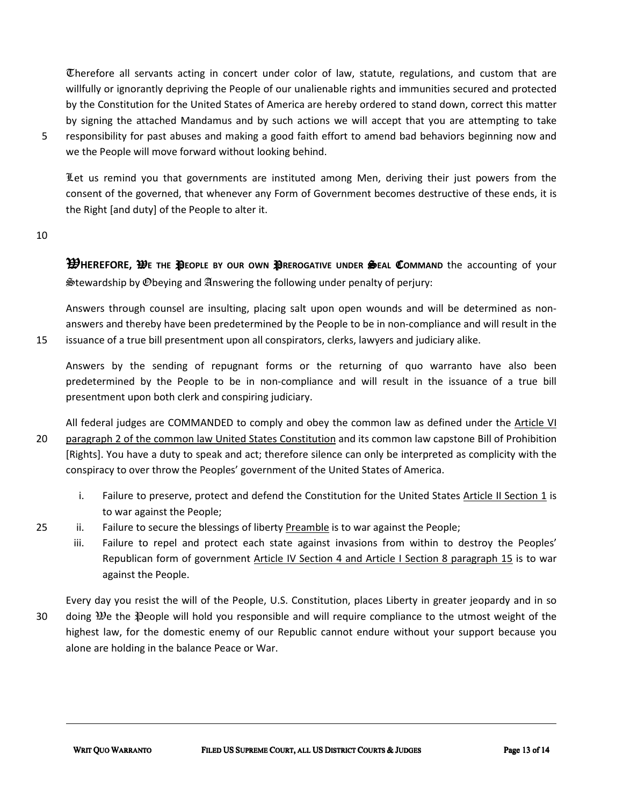Therefore all servants acting in concert under color of law, statute, regulations, and custom that are willfully or ignorantly depriving the People of our unalienable rights and immunities secured and protected by the Constitution for the United States of America are hereby ordered to stand down, correct this matter by signing the attached Mandamus and by such actions we will accept that you are attempting to take

5 responsibility for past abuses and making a good faith effort to amend bad behaviors beginning now and we the People will move forward without looking behind.

Let us remind you that governments are instituted among Men, deriving their just powers from the consent of the governed, that whenever any Form of Government becomes destructive of these ends, it is the Right [and duty] of the People to alter it.

10

W**HEREFORE,** W**E THE** P**EOPLE BY OUR OWN** P**REROGATIVE UNDER** S**EAL** C**OMMAND** the accounting of your Stewardship by Obeying and Answering the following under penalty of perjury:

Answers through counsel are insulting, placing salt upon open wounds and will be determined as nonanswers and thereby have been predetermined by the People to be in non-compliance and will result in the 15 issuance of a true bill presentment upon all conspirators, clerks, lawyers and judiciary alike.

Answers by the sending of repugnant forms or the returning of quo warranto have also been predetermined by the People to be in non-compliance and will result in the issuance of a true bill presentment upon both clerk and conspiring judiciary.

All federal judges are COMMANDED to comply and obey the common law as defined under the Article VI 20 paragraph 2 of the common law United States Constitution and its common law capstone Bill of Prohibition [Rights]. You have a duty to speak and act; therefore silence can only be interpreted as complicity with the conspiracy to over throw the Peoples' government of the United States of America.

- i. Failure to preserve, protect and defend the Constitution for the United States Article II Section 1 is to war against the People;
- 25 ii. Failure to secure the blessings of liberty Preamble is to war against the People;
	- iii. Failure to repel and protect each state against invasions from within to destroy the Peoples' Republican form of government Article IV Section 4 and Article I Section 8 paragraph 15 is to war against the People.

Every day you resist the will of the People, U.S. Constitution, places Liberty in greater jeopardy and in so 30 doing  $\mathcal{Y}$  e the  $\mathcal{Y}$  eople will hold you responsible and will require compliance to the utmost weight of the highest law, for the domestic enemy of our Republic cannot endure without your support because you alone are holding in the balance Peace or War.

<u>.</u>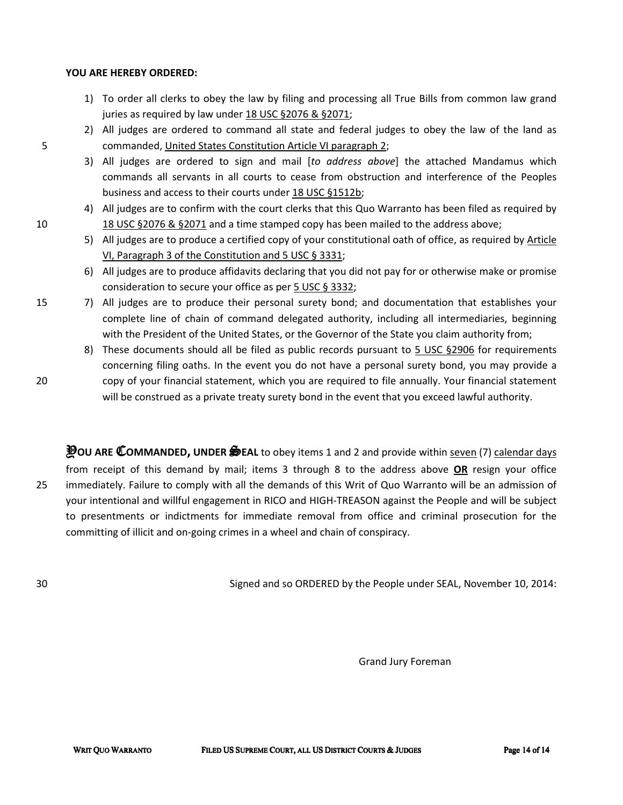#### **YOU ARE HEREBY ORDERED:**

- 1) To order all clerks to obey the law by filing and processing all True Bills from common law grand juries as required by law under 18 USC §2076 & §2071;
- 2) All judges are ordered to command all state and federal judges to obey the law of the land as 5 commanded, United States Constitution Article VI paragraph 2;
	- 3) All judges are ordered to sign and mail [*to address above*] the attached Mandamus which commands all servants in all courts to cease from obstruction and interference of the Peoples business and access to their courts under 18 USC §1512b;
- 4) All judges are to confirm with the court clerks that this Quo Warranto has been filed as required by 10 18 USC §2076 & §2071 and a time stamped copy has been mailed to the address above;
	- 5) All judges are to produce a certified copy of your constitutional oath of office, as required by Article VI, Paragraph 3 of the Constitution and 5 USC § 3331;
	- 6) All judges are to produce affidavits declaring that you did not pay for or otherwise make or promise consideration to secure your office as per 5 USC § 3332;
- 15 7) All judges are to produce their personal surety bond; and documentation that establishes your complete line of chain of command delegated authority, including all intermediaries, beginning with the President of the United States, or the Governor of the State you claim authority from;
- 8) These documents should all be filed as public records pursuant to 5 USC §2906 for requirements concerning filing oaths. In the event you do not have a personal surety bond, you may provide a 20 copy of your financial statement, which you are required to file annually. Your financial statement will be construed as a private treaty surety bond in the event that you exceed lawful authority.
- Y**OU ARE** C**OMMANDED, UNDER** S**EAL** to obey items 1 and 2 and provide within seven (7) calendar days from receipt of this demand by mail; items 3 through 8 to the address above **OR** resign your office 25 immediately. Failure to comply with all the demands of this Writ of Quo Warranto will be an admission of your intentional and willful engagement in RICO and HIGH-TREASON against the People and will be subject to presentments or indictments for immediate removal from office and criminal prosecution for the committing of illicit and on-going crimes in a wheel and chain of conspiracy.

30 Signed and so ORDERED by the People under SEAL, November 10, 2014:

Grand Jury Foreman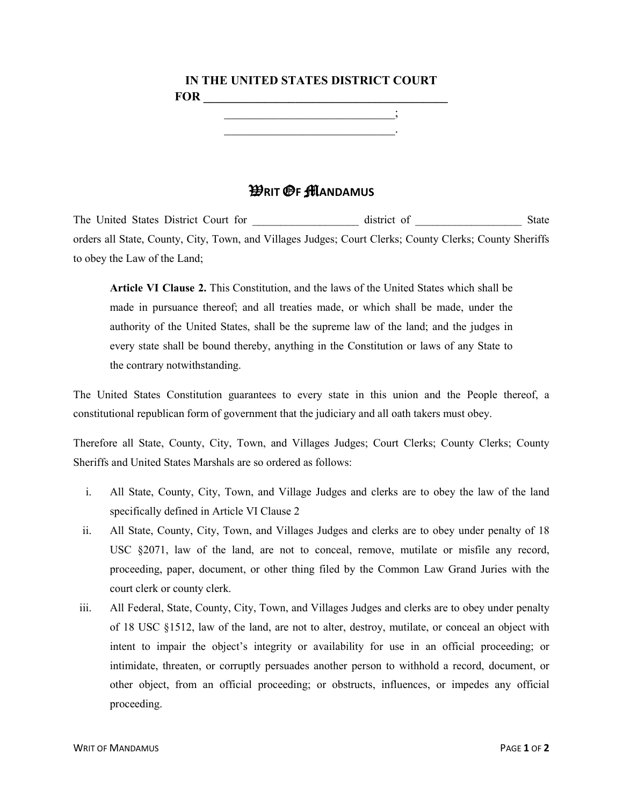# **IN THE UNITED STATES DISTRICT COURT FOR \_\_\_\_\_\_\_\_\_\_\_\_\_\_\_\_\_\_\_\_\_\_\_\_\_\_\_\_\_\_\_\_\_\_\_\_\_\_\_\_**  \_\_\_\_\_\_\_\_\_\_\_\_\_\_\_\_\_\_\_\_\_\_\_\_\_\_\_\_;

\_\_\_\_\_\_\_\_\_\_\_\_\_\_\_\_\_\_\_\_\_\_\_\_\_\_\_\_.

# W**RIT** O**F** M**ANDAMUS**

The United States District Court for \_\_\_\_\_\_\_\_\_\_\_\_\_\_\_\_\_\_\_ district of \_\_\_\_\_\_\_\_\_\_\_\_\_\_\_\_\_\_\_ State orders all State, County, City, Town, and Villages Judges; Court Clerks; County Clerks; County Sheriffs to obey the Law of the Land;

**Article VI Clause 2.** This Constitution, and the laws of the United States which shall be made in pursuance thereof; and all treaties made, or which shall be made, under the authority of the United States, shall be the supreme law of the land; and the judges in every state shall be bound thereby, anything in the Constitution or laws of any State to the contrary notwithstanding.

The United States Constitution guarantees to every state in this union and the People thereof, a constitutional republican form of government that the judiciary and all oath takers must obey.

Therefore all State, County, City, Town, and Villages Judges; Court Clerks; County Clerks; County Sheriffs and United States Marshals are so ordered as follows:

- i. All State, County, City, Town, and Village Judges and clerks are to obey the law of the land specifically defined in Article VI Clause 2
- ii. All State, County, City, Town, and Villages Judges and clerks are to obey under penalty of 18 USC  $\S 2071$ , law of the land, are not to conceal, remove, mutilate or misfile any record, proceeding, paper, document, or other thing filed by the Common Law Grand Juries with the court clerk or county clerk.
- iii. All Federal, State, County, City, Town, and Villages Judges and clerks are to obey under penalty of 18 USC §1512, law of the land, are not to alter, destroy, mutilate, or conceal an object with intent to impair the object's integrity or availability for use in an official proceeding; or intimidate, threaten, or corruptly persuades another person to withhold a record, document, or other object, from an official proceeding; or obstructs, influences, or impedes any official proceeding.